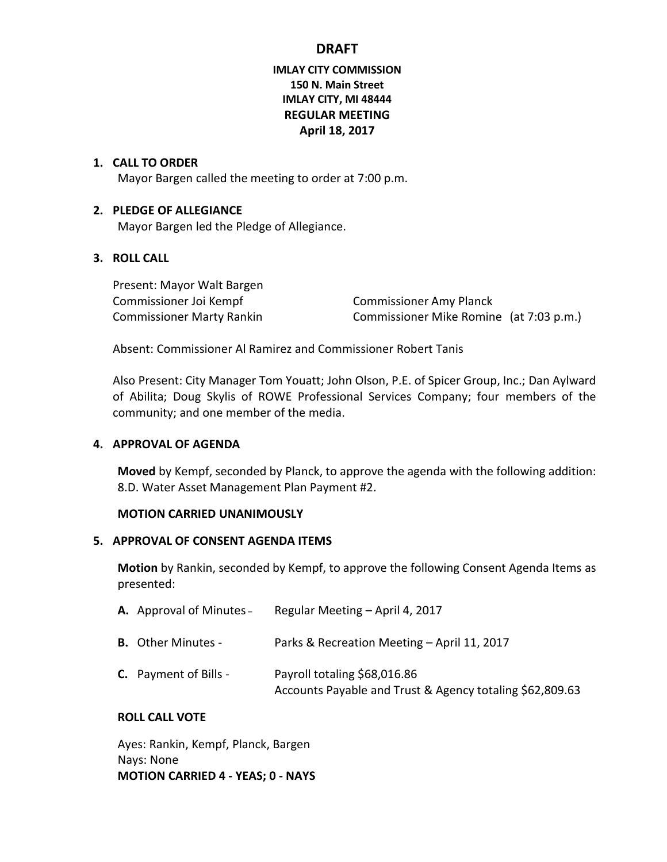# **DRAFT**

## **IMLAY CITY COMMISSION 150 N. Main Street IMLAY CITY, MI 48444 REGULAR MEETING April 18, 2017**

#### **1. CALL TO ORDER**

Mayor Bargen called the meeting to order at 7:00 p.m.

#### **2. PLEDGE OF ALLEGIANCE**

Mayor Bargen led the Pledge of Allegiance.

## **3. ROLL CALL**

Present: Mayor Walt Bargen Commissioner Joi Kempf Commissioner Amy Planck Commissioner Marty Rankin Commissioner Mike Romine (at 7:03 p.m.)

Absent: Commissioner Al Ramirez and Commissioner Robert Tanis

Also Present: City Manager Tom Youatt; John Olson, P.E. of Spicer Group, Inc.; Dan Aylward of Abilita; Doug Skylis of ROWE Professional Services Company; four members of the community; and one member of the media.

#### **4. APPROVAL OF AGENDA**

**Moved** by Kempf, seconded by Planck, to approve the agenda with the following addition: 8.D. Water Asset Management Plan Payment #2.

#### **MOTION CARRIED UNANIMOUSLY**

#### **5. APPROVAL OF CONSENT AGENDA ITEMS**

**Motion** by Rankin, seconded by Kempf, to approve the following Consent Agenda Items as presented:

| A. Approval of Minutes -     | Regular Meeting - April 4, 2017                                                          |
|------------------------------|------------------------------------------------------------------------------------------|
| <b>B.</b> Other Minutes -    | Parks & Recreation Meeting - April 11, 2017                                              |
| <b>C.</b> Payment of Bills - | Payroll totaling \$68,016.86<br>Accounts Payable and Trust & Agency totaling \$62,809.63 |

## **ROLL CALL VOTE**

Ayes: Rankin, Kempf, Planck, Bargen Nays: None **MOTION CARRIED 4 - YEAS; 0 - NAYS**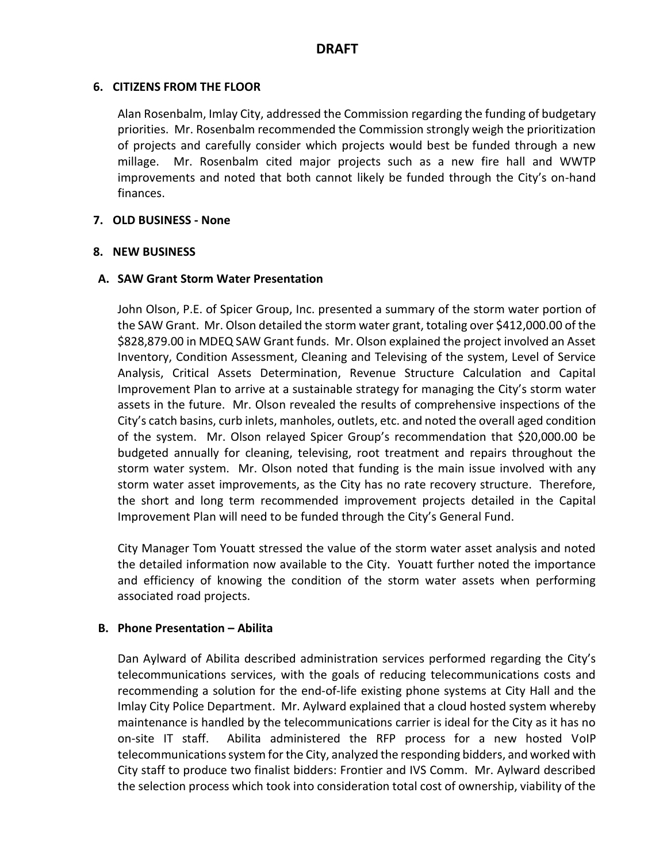## **6. CITIZENS FROM THE FLOOR**

Alan Rosenbalm, Imlay City, addressed the Commission regarding the funding of budgetary priorities. Mr. Rosenbalm recommended the Commission strongly weigh the prioritization of projects and carefully consider which projects would best be funded through a new millage. Mr. Rosenbalm cited major projects such as a new fire hall and WWTP improvements and noted that both cannot likely be funded through the City's on-hand finances.

## **7. OLD BUSINESS - None**

## **8. NEW BUSINESS**

## **A. SAW Grant Storm Water Presentation**

John Olson, P.E. of Spicer Group, Inc. presented a summary of the storm water portion of the SAW Grant. Mr. Olson detailed the storm water grant, totaling over \$412,000.00 of the \$828,879.00 in MDEQ SAW Grant funds. Mr. Olson explained the project involved an Asset Inventory, Condition Assessment, Cleaning and Televising of the system, Level of Service Analysis, Critical Assets Determination, Revenue Structure Calculation and Capital Improvement Plan to arrive at a sustainable strategy for managing the City's storm water assets in the future. Mr. Olson revealed the results of comprehensive inspections of the City's catch basins, curb inlets, manholes, outlets, etc. and noted the overall aged condition of the system. Mr. Olson relayed Spicer Group's recommendation that \$20,000.00 be budgeted annually for cleaning, televising, root treatment and repairs throughout the storm water system. Mr. Olson noted that funding is the main issue involved with any storm water asset improvements, as the City has no rate recovery structure. Therefore, the short and long term recommended improvement projects detailed in the Capital Improvement Plan will need to be funded through the City's General Fund.

City Manager Tom Youatt stressed the value of the storm water asset analysis and noted the detailed information now available to the City. Youatt further noted the importance and efficiency of knowing the condition of the storm water assets when performing associated road projects.

## **B. Phone Presentation – Abilita**

Dan Aylward of Abilita described administration services performed regarding the City's telecommunications services, with the goals of reducing telecommunications costs and recommending a solution for the end-of-life existing phone systems at City Hall and the Imlay City Police Department. Mr. Aylward explained that a cloud hosted system whereby maintenance is handled by the telecommunications carrier is ideal for the City as it has no on-site IT staff. Abilita administered the RFP process for a new hosted VoIP telecommunications system for the City, analyzed the responding bidders, and worked with City staff to produce two finalist bidders: Frontier and IVS Comm. Mr. Aylward described the selection process which took into consideration total cost of ownership, viability of the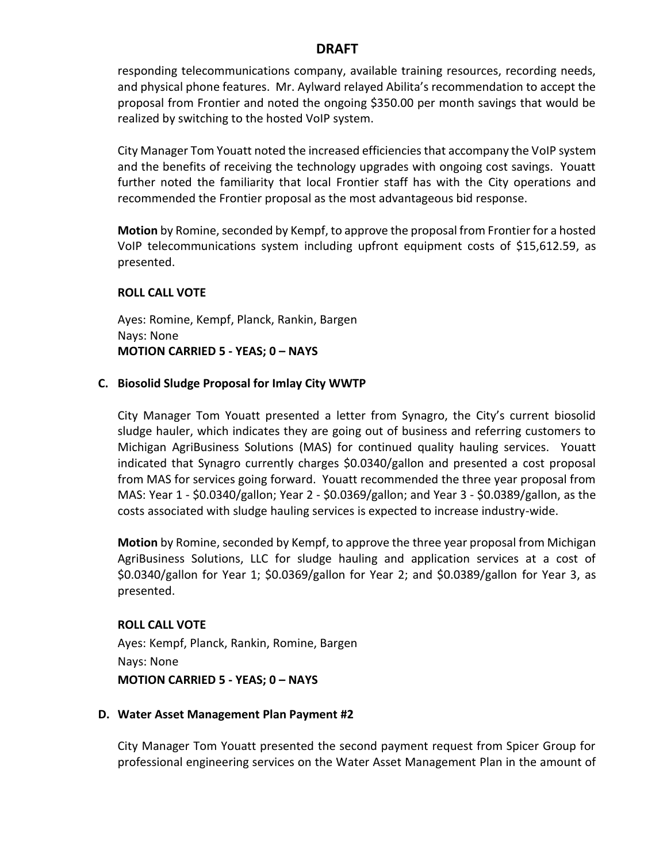# **DRAFT**

responding telecommunications company, available training resources, recording needs, and physical phone features. Mr. Aylward relayed Abilita's recommendation to accept the proposal from Frontier and noted the ongoing \$350.00 per month savings that would be realized by switching to the hosted VoIP system.

City Manager Tom Youatt noted the increased efficiencies that accompany the VoIP system and the benefits of receiving the technology upgrades with ongoing cost savings. Youatt further noted the familiarity that local Frontier staff has with the City operations and recommended the Frontier proposal as the most advantageous bid response.

**Motion** by Romine, seconded by Kempf, to approve the proposal from Frontier for a hosted VoIP telecommunications system including upfront equipment costs of \$15,612.59, as presented.

## **ROLL CALL VOTE**

Ayes: Romine, Kempf, Planck, Rankin, Bargen Nays: None **MOTION CARRIED 5 - YEAS; 0 – NAYS**

#### **C. Biosolid Sludge Proposal for Imlay City WWTP**

City Manager Tom Youatt presented a letter from Synagro, the City's current biosolid sludge hauler, which indicates they are going out of business and referring customers to Michigan AgriBusiness Solutions (MAS) for continued quality hauling services. Youatt indicated that Synagro currently charges \$0.0340/gallon and presented a cost proposal from MAS for services going forward. Youatt recommended the three year proposal from MAS: Year 1 - \$0.0340/gallon; Year 2 - \$0.0369/gallon; and Year 3 - \$0.0389/gallon, as the costs associated with sludge hauling services is expected to increase industry-wide.

**Motion** by Romine, seconded by Kempf, to approve the three year proposal from Michigan AgriBusiness Solutions, LLC for sludge hauling and application services at a cost of \$0.0340/gallon for Year 1; \$0.0369/gallon for Year 2; and \$0.0389/gallon for Year 3, as presented.

#### **ROLL CALL VOTE**

Ayes: Kempf, Planck, Rankin, Romine, Bargen Nays: None **MOTION CARRIED 5 - YEAS; 0 – NAYS**

## **D. Water Asset Management Plan Payment #2**

City Manager Tom Youatt presented the second payment request from Spicer Group for professional engineering services on the Water Asset Management Plan in the amount of